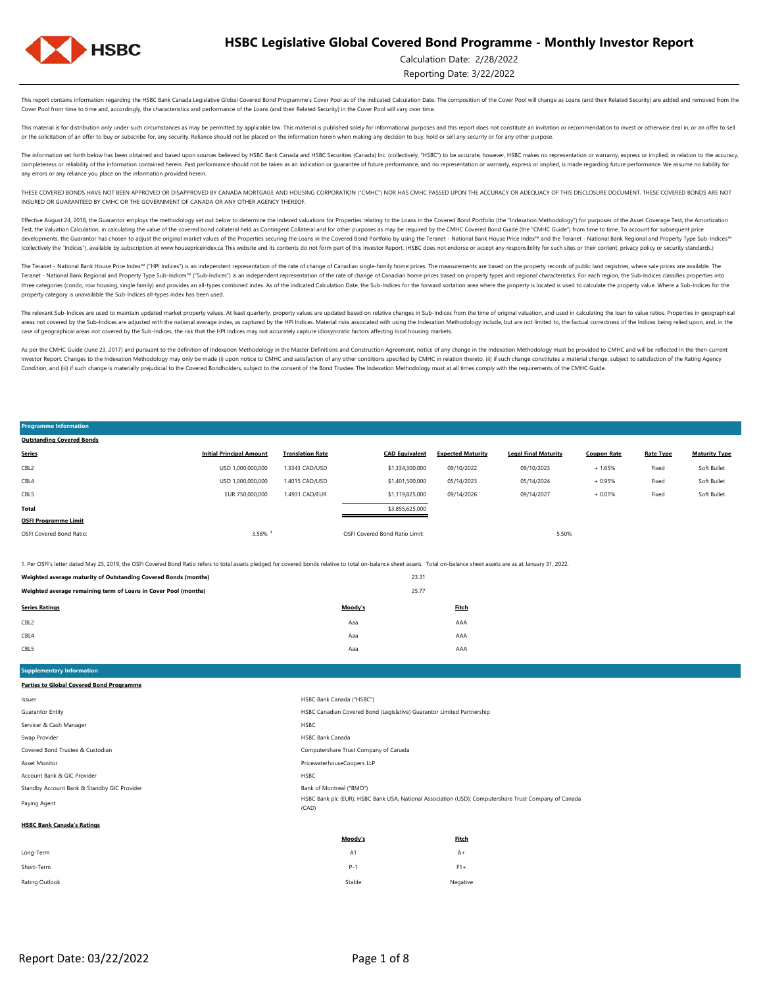

**Programme Information Outstanding Covered Bonds**

### Calculation Date: 2/28/2022

Reporting Date: 3/22/2022

This report contains information regarding the HSBC Bank Canada Legislative Global Covered Bond Programme's Cover Pool as of the indicated Calculation Date. The composition of the Cover Pool will change as Loans (and their Cover Pool from time to time and, accordingly, the characteristics and performance of the Loans (and their Related Security) in the Cover Pool will vary over time

This material is for distribution only under such circumstances as may be permitted by applicable law. This material is published solely for informational purposes and this report does not constitute an invitation or recom or the solicitation of an offer to buy or subscribe for, any security. Reliance should not be placed on the information herein when making any decision to buy, hold or sell any security or for any other purpose.

The information set forth below has been obtained and based upon sources believed by HSBC Bank Canada and HSBC Securities (Canada) Inc. (collectively, "HSBC") to be accurate, however, HSBC makes no representation or warran completeness or reliability of the information contained herein. Past performance should not be taken as an indication or guarantee of future performance, and no representation or warranty, express or implied, is made rega any errors or any reliance you place on the information provided herein.

THESE COVERED BONDS HAVE NOT BEEN APPROVED OR DISAPPROVED BY CANADA MORTGAGE AND HOUSING CORPORATION ("CMHC") NOR HAS CMHC PASSED UPON THE ACCURACY OR ADEQUACY OF THIS DISCLOSURE DOCUMENT. THESE COVERED BONDS ARE NOT INSURED OR GUARANTEED BY CMHC OR THE GOVERNMENT OF CANADA OR ANY OTHER AGENCY THEREOF.

Effective August 24, 2018, the Guarantor employs the methodology set out below to determine the indexed valuations for Properties relating to the Loans in the Covered Bond Portfolio (the "Indexation Methodology") for purpo Test, the Valuation Calculation, in calculating the value of the covered bond collateral held as Contingent Collateral and for other purposes as may be required by the CMHC Covered Bond Guide (the "CMHC Guide") from time t developments, the Guarantor has chosen to adjust the original market values of the Properties securing the Loans in the Covered Bond Portfolio by using the Teranet - National Bank House Price Index<sup>nu</sup> and the Teranet - Na (collectively the "Indices"), available by subscription at www.housepriceindex.ca This website and its contents do not form part of this Investor Report. (HSBC does not endorse or accept any responsibility for such sites o

The Teranet - National Bank House Price Index<sup>na</sup> ("HPI Indices") is an independent representation of the rate of change of Canadian single-family home prices. The measurements are based on the property records of public l Teranet - National Bank Regional and Property Type Sub-Indices™ ("Sub-Indices") is an independent representation of the rate of change of Canadian home prices based on property types and regional characteristics. For each three categories (condo, row housing, single family) and provides an all-types combined index. As of the indicated Calculation Date, the Sub-Indices for the forward sortation area where the property is located is used to c property category is unavailable the Sub-Indices all-types index has been used.

The relevant Sub-Indices are used to maintain updated market property values. At least quarterly, property values are updated based on relative changes in Sub-Indices from the time of original valuation, and used in calcul areas not covered by the Sub-Indices are adjusted with the national average index, as captured by the HPI Indices. Material risks associated with using the Indivation Methodology include, but are not limited to, the factua case of geographical areas not covered by the Sub-Indices, the risk that the HPI Indices may not accurately capture idiosyncratic factors affecting local housing markets.

As per the CMHC Guide (June 23, 2017) and pursuant to the definition of Indexation Methodology in the Master Definitions and Construction Agreement, notice of any change in the Indexation Methodology must be provided to CM Investor Report. Changes to the Indexation Methodology may only be made (i) upon notice to CMHC and satisfaction of any other conditions specified by CMHC in relation thereto, (ii) if such change constitutes a material cha Condition, and (iii) if such change is materially prejudicial to the Covered Bondholders, subject to the consent of the Bond Trustee. The Indexation Methodology must at all times comply with the requirements of the CMHC Gu

#### OSFI Covered Bond Ratio: 3.58% ¹ OSFI Covered Bond Ratio Limit: 5.50% **OSFI Programme Limit** Soft Bullet **Total** \$3,855,625,000 Fixed Soft Bullet CBL5 EUR 750,000,000 1.4931 CAD/EUR \$1,119,825,000 09/14/2026 09/14/2027 + 0.01% Fixed + 1.65% Fixed Soft Bullet CBL4 USD 1,000,000,000 1.4015 CAD/USD \$1,401,500,000 05/14/2023 05/14/2024 + 0.95% CBL2 USD 1,000,000,000 1.3343 CAD/USD \$1,334,300,000 09/10/2022 09/10/2023 **Series Initial Principal Amount Translation Rate CAD Equivalent Expected Maturity Legal Final Maturity Coupon Rate Rate Type Maturity Type**

1. Per OSFI's letter dated May 23, 2019, the OSFI Covered Bond Ratio refers to total assets pledged for covered bonds relative to total on-balance sheet assets. Total on-balance sheet assets are as at January 31, 2022.

| Weighted average maturity of Outstanding Covered Bonds (months) | 23.31   |       |
|-----------------------------------------------------------------|---------|-------|
| Weighted average remaining term of Loans in Cover Pool (months) | 25.77   |       |
| <b>Series Ratings</b>                                           | Moody's | Fitch |
| CBL <sub>2</sub>                                                | Aaa     | AAA   |
| CBL4                                                            | Aaa     | AAA   |

CBL5 Aaa AAA

Rating Outlook Negative Negative Negative Negative Negative Negative Negative Negative Negative Negative Negative Short-Term P-1 F1+

**Moody's Fitch** Long-Term A1 A+ Paying Agent HSBC Bank plc (EUR); HSBC Bank USA, National Association (USD); Computershare Trust Company of Canada (CAD) **HSBC Bank Canada's Ratings** Account Bank & GIC Provider HSBC Standby Account Bank & Standby GIC Provider Bank of Montreal ("BMO") and Dank of Montreal ("BMO") Covered Bond Trustee & Custodian Computershare Trust Company of Canada Asset Monitor PricewaterhouseCoopers LLP Servicer & Cash Manager **HSBC** Swap Provider **HSBC Bank Canada** HSBC Bank Canada ("HSBC") Guarantor Entity HSBC Canadian Covered Bond (Legislative) Guarantor Limited Partnership **Supplementary Information Parties to Global Covered Bond Programme**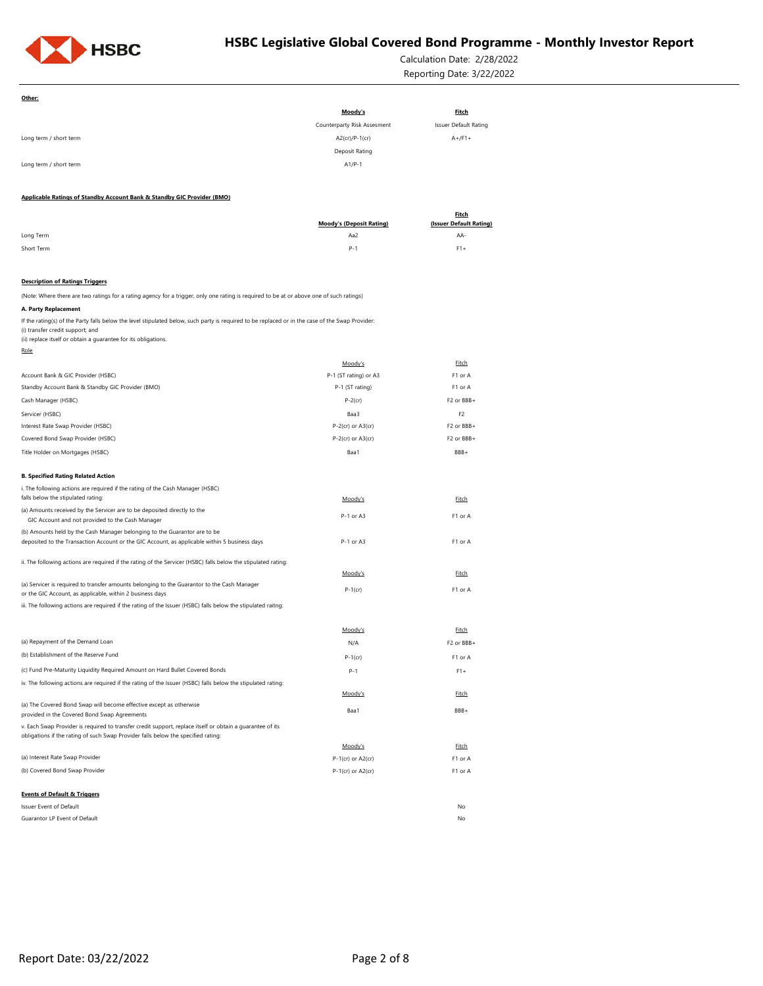

Calculation Date: 2/28/2022 Reporting Date: 3/22/2022

| Other:                                                                                                                                                                                                                                                                         |                                 |                         |
|--------------------------------------------------------------------------------------------------------------------------------------------------------------------------------------------------------------------------------------------------------------------------------|---------------------------------|-------------------------|
|                                                                                                                                                                                                                                                                                | Moody's                         | <b>Fitch</b>            |
|                                                                                                                                                                                                                                                                                | Counterparty Risk Assesment     | Issuer Default Rating   |
| Long term / short term                                                                                                                                                                                                                                                         | A2(cr)/P-1(cr)                  | $A+$ /F1+               |
|                                                                                                                                                                                                                                                                                | Deposit Rating                  |                         |
| Long term / short term                                                                                                                                                                                                                                                         | $A1/P-1$                        |                         |
| Applicable Ratings of Standby Account Bank & Standby GIC Provider (BMO)                                                                                                                                                                                                        |                                 |                         |
|                                                                                                                                                                                                                                                                                |                                 | <b>Fitch</b>            |
|                                                                                                                                                                                                                                                                                | <b>Moody's (Deposit Rating)</b> | (Issuer Default Rating) |
| Long Term                                                                                                                                                                                                                                                                      | Aa2                             | AA-                     |
| Short Term                                                                                                                                                                                                                                                                     | $P-1$                           | $F1+$                   |
|                                                                                                                                                                                                                                                                                |                                 |                         |
| <b>Description of Ratings Triggers</b>                                                                                                                                                                                                                                         |                                 |                         |
| (Note: Where there are two ratings for a rating agency for a trigger, only one rating is required to be at or above one of such ratings)                                                                                                                                       |                                 |                         |
| A. Party Replacement<br>If the rating(s) of the Party falls below the level stipulated below, such party is required to be replaced or in the case of the Swap Provider:<br>(i) transfer credit support; and<br>(ii) replace itself or obtain a guarantee for its obligations. |                                 |                         |
| Role                                                                                                                                                                                                                                                                           |                                 |                         |
|                                                                                                                                                                                                                                                                                | Moody's                         | Fitch                   |
| Account Bank & GIC Provider (HSBC)                                                                                                                                                                                                                                             | P-1 (ST rating) or A3           | F1 or A                 |
| Standby Account Bank & Standby GIC Provider (BMO)                                                                                                                                                                                                                              | P-1 (ST rating)                 | F1 or A                 |
| Cash Manager (HSBC)                                                                                                                                                                                                                                                            | $P-2$ (cr)                      | F2 or BBB+              |
| Servicer (HSBC)                                                                                                                                                                                                                                                                | Baa3                            | F <sub>2</sub>          |
| Interest Rate Swap Provider (HSBC)                                                                                                                                                                                                                                             | $P-2$ (cr) or $A3$ (cr)         | F2 or BBB+              |
| Covered Bond Swap Provider (HSBC)                                                                                                                                                                                                                                              | $P-2$ (cr) or $A3$ (cr)         | F2 or BBB+              |
| Title Holder on Mortgages (HSBC)                                                                                                                                                                                                                                               | Baa1                            | BBB+                    |
| <b>B. Specified Rating Related Action</b>                                                                                                                                                                                                                                      |                                 |                         |
| i. The following actions are required if the rating of the Cash Manager (HSBC)                                                                                                                                                                                                 |                                 |                         |
| falls below the stipulated rating:                                                                                                                                                                                                                                             | Moody's                         | Fitch                   |
| (a) Amounts received by the Servicer are to be deposited directly to the<br>GIC Account and not provided to the Cash Manager                                                                                                                                                   | P-1 or A3                       | F1 or A                 |
| (b) Amounts held by the Cash Manager belonging to the Guarantor are to be                                                                                                                                                                                                      |                                 |                         |
| deposited to the Transaction Account or the GIC Account, as applicable within 5 business days                                                                                                                                                                                  | P-1 or A3                       | F1 or A                 |
| ii. The following actions are required if the rating of the Servicer (HSBC) falls below the stipulated rating:                                                                                                                                                                 |                                 |                         |
|                                                                                                                                                                                                                                                                                | Moody's                         | Fitch                   |
| (a) Servicer is required to transfer amounts belonging to the Guarantor to the Cash Manager                                                                                                                                                                                    |                                 |                         |
| or the GIC Account, as applicable, within 2 business days                                                                                                                                                                                                                      | $P-1$ (cr)                      | F1 or A                 |
| iii. The following actions are required if the rating of the Issuer (HSBC) falls below the stipulated raitng:                                                                                                                                                                  |                                 |                         |
|                                                                                                                                                                                                                                                                                | Moody's                         | Fitch                   |
| (a) Repayment of the Demand Loan                                                                                                                                                                                                                                               | N/A                             | F2 or BBB+              |
| (b) Establishment of the Reserve Fund                                                                                                                                                                                                                                          |                                 |                         |
| (c) Fund Pre-Maturity Liquidity Required Amount on Hard Bullet Covered Bonds                                                                                                                                                                                                   | $P-1$ (cr)                      | F1 or A                 |
|                                                                                                                                                                                                                                                                                | P-1                             | $F1+$                   |
| iv. The following actions are required if the rating of the Issuer (HSBC) falls below the stipulated rating:                                                                                                                                                                   | Moody's                         | <b>Fitch</b>            |
| (a) The Covered Bond Swap will become effective except as otherwise                                                                                                                                                                                                            | Baa1                            | BBB+                    |
| provided in the Covered Bond Swap Agreements                                                                                                                                                                                                                                   |                                 |                         |
| v. Each Swap Provider is required to transfer credit support, replace itself or obtain a quarantee of its<br>obligations if the rating of such Swap Provider falls below the specified rating:                                                                                 |                                 |                         |
|                                                                                                                                                                                                                                                                                | Moody's                         | Fitch                   |
| (a) Interest Rate Swap Provider                                                                                                                                                                                                                                                | P-1(cr) or A2(cr)               | F1 or A                 |
| (b) Covered Bond Swap Provider                                                                                                                                                                                                                                                 | $P-1$ (cr) or A2(cr)            | F1 or A                 |
| <b>Events of Default &amp; Triggers</b>                                                                                                                                                                                                                                        |                                 |                         |
| Issuer Event of Default                                                                                                                                                                                                                                                        |                                 | No                      |
| Guarantor LP Event of Default                                                                                                                                                                                                                                                  |                                 | No                      |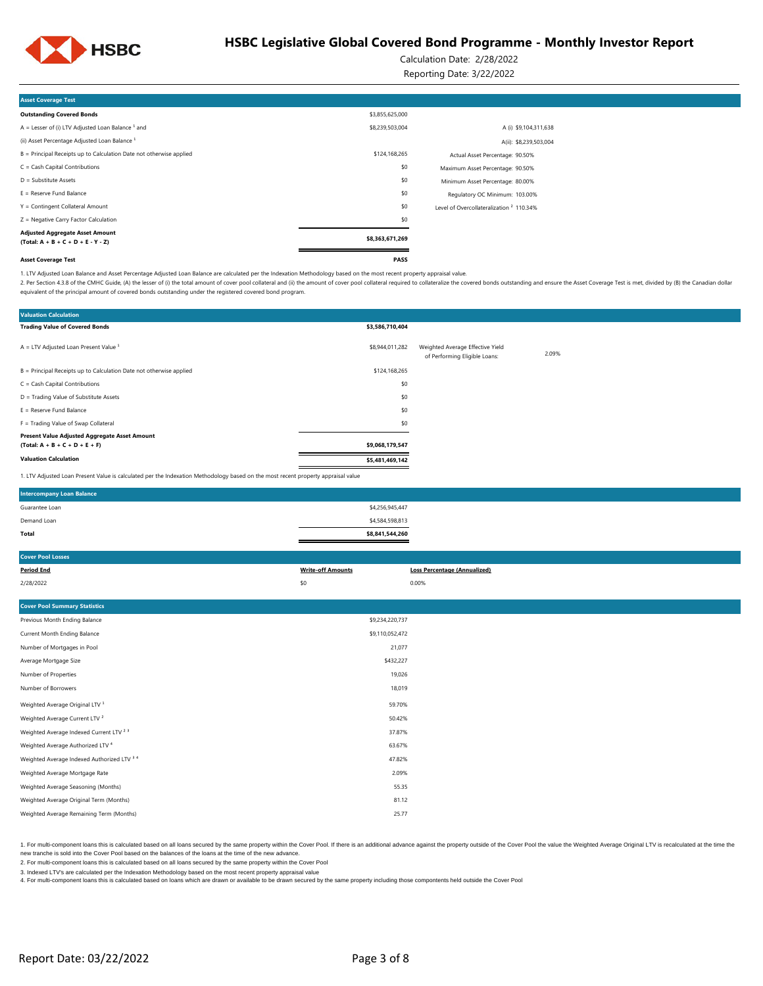

Calculation Date: 2/28/2022

Reporting Date: 3/22/2022

| <b>Asset Coverage Test</b>                                                     |                 |                                                     |
|--------------------------------------------------------------------------------|-----------------|-----------------------------------------------------|
| <b>Outstanding Covered Bonds</b>                                               | \$3,855,625,000 |                                                     |
| $A =$ Lesser of (i) LTV Adjusted Loan Balance $1$ and                          | \$8,239,503,004 | A (i) \$9,104,311,638                               |
| (ii) Asset Percentage Adjusted Loan Balance <sup>1</sup>                       |                 | A(ii): \$8,239,503,004                              |
| B = Principal Receipts up to Calculation Date not otherwise applied            | \$124,168,265   | Actual Asset Percentage: 90.50%                     |
| $C = Cash$ Capital Contributions                                               | \$0             | Maximum Asset Percentage: 90.50%                    |
| $D =$ Substitute Assets                                                        | \$0             | Minimum Asset Percentage: 80.00%                    |
| $E =$ Reserve Fund Balance                                                     | \$0             | Regulatory OC Minimum: 103.00%                      |
| Y = Contingent Collateral Amount                                               | \$0             | Level of Overcollateralization <sup>2</sup> 110.34% |
| Z = Negative Carry Factor Calculation                                          | \$0             |                                                     |
| <b>Adjusted Aggregate Asset Amount</b><br>$(Total: A + B + C + D + E - Y - Z)$ | \$8,363,671,269 |                                                     |
| <b>Asset Coverage Test</b>                                                     | PASS            |                                                     |

1. LTV Adjusted Loan Balance and Asset Percentage Adjusted Loan Balance are calculated per the Indexation Methodology based on the most recent property appraisal value.

2. Per Section 4.3.8 of the CMHC Guide, (A) the lesser of (i) the total amount of cover pool collateral and (ii) the amount of cover pool collateral required to cover pool collateral required to collateral required to coll equivalent of the principal amount of covered bonds outstanding under the registered covered bond program.

| <b>Valuation Calculation</b>                                                                                                      |                 |                                                                   |       |
|-----------------------------------------------------------------------------------------------------------------------------------|-----------------|-------------------------------------------------------------------|-------|
| <b>Trading Value of Covered Bonds</b>                                                                                             | \$3,586,710,404 |                                                                   |       |
| $A = LTV$ Adjusted Loan Present Value $1$                                                                                         | \$8,944,011,282 | Weighted Average Effective Yield<br>of Performing Eligible Loans: | 2.09% |
| B = Principal Receipts up to Calculation Date not otherwise applied                                                               | \$124,168,265   |                                                                   |       |
| C = Cash Capital Contributions                                                                                                    | \$0             |                                                                   |       |
| D = Trading Value of Substitute Assets                                                                                            | \$0             |                                                                   |       |
| $E =$ Reserve Fund Balance                                                                                                        | \$0             |                                                                   |       |
| F = Trading Value of Swap Collateral                                                                                              | \$0             |                                                                   |       |
| Present Value Adjusted Aggregate Asset Amount<br>$(Total: A + B + C + D + E + F)$                                                 | \$9,068,179,547 |                                                                   |       |
| <b>Valuation Calculation</b>                                                                                                      | \$5,481,469,142 |                                                                   |       |
| 1. LTV Adjusted Loan Present Value is calculated per the Indexation Methodology based on the most recent property appraisal value |                 |                                                                   |       |

| <b>Intercompany Loan Balance</b> |                 |  |
|----------------------------------|-----------------|--|
| Guarantee Loan                   | \$4,256,945,447 |  |
| Demand Loan                      | \$4,584,598,813 |  |
| Total                            | \$8,841,544,260 |  |

| <b>Cover Pool Losses</b>                           |                          |                                     |
|----------------------------------------------------|--------------------------|-------------------------------------|
| <b>Period End</b>                                  | <b>Write-off Amounts</b> | <b>Loss Percentage (Annualized)</b> |
| 2/28/2022                                          | \$0                      | 0.00%                               |
|                                                    |                          |                                     |
| <b>Cover Pool Summary Statistics</b>               |                          |                                     |
| Previous Month Ending Balance                      | \$9,234,220,737          |                                     |
| Current Month Ending Balance                       | \$9,110,052,472          |                                     |
| Number of Mortgages in Pool                        | 21,077                   |                                     |
| Average Mortgage Size                              | \$432,227                |                                     |
| Number of Properties                               | 19,026                   |                                     |
| Number of Borrowers                                | 18,019                   |                                     |
| Weighted Average Original LTV <sup>1</sup>         | 59.70%                   |                                     |
| Weighted Average Current LTV <sup>2</sup>          | 50.42%                   |                                     |
| Weighted Average Indexed Current LTV <sup>23</sup> | 37.87%                   |                                     |
| Weighted Average Authorized LTV <sup>4</sup>       | 63.67%                   |                                     |
| Weighted Average Indexed Authorized LTV 3 4        | 47.82%                   |                                     |
| Weighted Average Mortgage Rate                     | 2.09%                    |                                     |
| Weighted Average Seasoning (Months)                | 55.35                    |                                     |
| Weighted Average Original Term (Months)            | 81.12                    |                                     |
| Weighted Average Remaining Term (Months)           | 25.77                    |                                     |

1. For multi-component loans this is calculated based on all loans secured by the same property within the Cover Pool. If there is an additional advance against the property outside of the Cover Pool the value the Weighted new tranche is sold into the Cover Pool based on the balances of the loans at the time of the new advance.

2. For multi-component loans this is calculated based on all loans secured by the same property within the Cover Pool

3. Indexed LTV's are calculated per the Indexation Methodology based on the most recent property appraisal value

4. For multi-component loans this is calculated based on loans which are drawn or available to be drawn secured by the same property including those compontents held outside the Cover Pool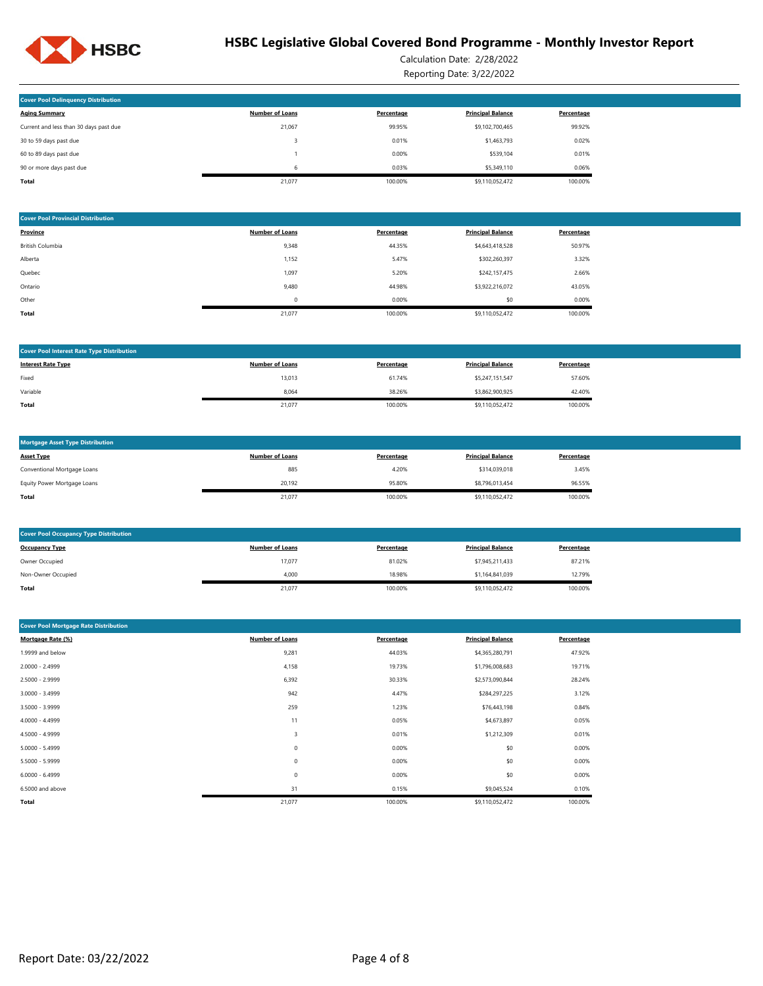

Calculation Date: 2/28/2022 Reporting Date: 3/22/2022

| <b>Cover Pool Delinguency Distribution</b> |                        |            |                          |            |
|--------------------------------------------|------------------------|------------|--------------------------|------------|
| <b>Aging Summary</b>                       | <b>Number of Loans</b> | Percentage | <b>Principal Balance</b> | Percentage |
| Current and less than 30 days past due     | 21.067                 | 99.95%     | \$9,102,700,465          | 99.92%     |
| 30 to 59 days past due                     |                        | 0.01%      | \$1,463,793              | 0.02%      |
| 60 to 89 days past due                     |                        | 0.00%      | \$539,104                | 0.01%      |
| 90 or more days past due                   | 6                      | 0.03%      | \$5,349,110              | 0.06%      |
| Total                                      | 21.077                 | 100.00%    | \$9.110.052.472          | 100.00%    |

| <b>Cover Pool Provincial Distribution</b> |                        |            |                          |            |
|-------------------------------------------|------------------------|------------|--------------------------|------------|
| <b>Province</b>                           | <b>Number of Loans</b> | Percentage | <b>Principal Balance</b> | Percentage |
| British Columbia                          | 9,348                  | 44.35%     | \$4,643,418,528          | 50.97%     |
| Alberta                                   | 1,152                  | 5.47%      | \$302,260,397            | 3.32%      |
| Quebec                                    | 1,097                  | 5.20%      | \$242,157,475            | 2.66%      |
| Ontario                                   | 9,480                  | 44.98%     | \$3,922,216,072          | 43.05%     |
| Other                                     | 0                      | 0.00%      | \$0                      | 0.00%      |
| Total                                     | 21,077                 | 100.00%    | \$9,110,052,472          | 100.00%    |

| <b>Cover Pool Interest Rate Type Distribution</b> |                        |            |                          |            |
|---------------------------------------------------|------------------------|------------|--------------------------|------------|
| <b>Interest Rate Type</b>                         | <b>Number of Loans</b> | Percentage | <b>Principal Balance</b> | Percentage |
| Fixed                                             | 13,013                 | 61.74%     | \$5,247,151,547          | 57.60%     |
| Variable                                          | 8,064                  | 38.26%     | \$3,862,900,925          | 42.40%     |
| Total                                             | 21,077                 | 100.00%    | \$9,110,052,472          | 100.00%    |

| <b>Mortgage Asset Type Distribution</b> |                        |            |                          |            |
|-----------------------------------------|------------------------|------------|--------------------------|------------|
| <b>Asset Type</b>                       | <b>Number of Loans</b> | Percentage | <b>Principal Balance</b> | Percentage |
| Conventional Mortgage Loans             | 885                    | 4.20%      | \$314.039.018            | 3.45%      |
| Equity Power Mortgage Loans             | 20,192                 | 95.80%     | \$8,796,013,454          | 96.55%     |
| Total                                   | 21,077                 | 100.00%    | \$9,110,052,472          | 100.00%    |

| <b>Cover Pool Occupancy Type Distribution</b> |                        |            |                          |            |
|-----------------------------------------------|------------------------|------------|--------------------------|------------|
| <b>Occupancy Type</b>                         | <b>Number of Loans</b> | Percentage | <b>Principal Balance</b> | Percentage |
| Owner Occupied                                | 17,077                 | 81.02%     | \$7,945,211,433          | 87.21%     |
| Non-Owner Occupied                            | 4,000                  | 18.98%     | \$1,164,841,039          | 12.79%     |
| Total                                         | 21,077                 | 100.00%    | \$9,110,052,472          | 100.00%    |

| <b>Cover Pool Mortgage Rate Distribution</b> |                        |            |                          |            |  |  |  |  |
|----------------------------------------------|------------------------|------------|--------------------------|------------|--|--|--|--|
| Mortgage Rate (%)                            | <b>Number of Loans</b> | Percentage | <b>Principal Balance</b> | Percentage |  |  |  |  |
| 1.9999 and below                             | 9,281                  | 44.03%     | \$4,365,280,791          | 47.92%     |  |  |  |  |
| 2.0000 - 2.4999                              | 4,158                  | 19.73%     | \$1,796,008,683          | 19.71%     |  |  |  |  |
| 2.5000 - 2.9999                              | 6,392                  | 30.33%     | \$2,573,090,844          | 28.24%     |  |  |  |  |
| $3.0000 - 3.4999$                            | 942                    | 4.47%      | \$284,297,225            | 3.12%      |  |  |  |  |
| 3.5000 - 3.9999                              | 259                    | 1.23%      | \$76,443,198             | 0.84%      |  |  |  |  |
| 4.0000 - 4.4999                              | 11                     | 0.05%      | \$4,673,897              | 0.05%      |  |  |  |  |
| 4.5000 - 4.9999                              | 3                      | 0.01%      | \$1,212,309              | 0.01%      |  |  |  |  |
| $5.0000 - 5.4999$                            | $\bf 0$                | 0.00%      | \$0                      | 0.00%      |  |  |  |  |
| 5.5000 - 5.9999                              | $\mathbf 0$            | 0.00%      | \$0                      | 0.00%      |  |  |  |  |
| $6.0000 - 6.4999$                            | 0                      | 0.00%      | \$0                      | 0.00%      |  |  |  |  |
| 6.5000 and above                             | 31                     | 0.15%      | \$9,045,524              | 0.10%      |  |  |  |  |
| Total                                        | 21,077                 | 100.00%    | \$9,110,052,472          | 100.00%    |  |  |  |  |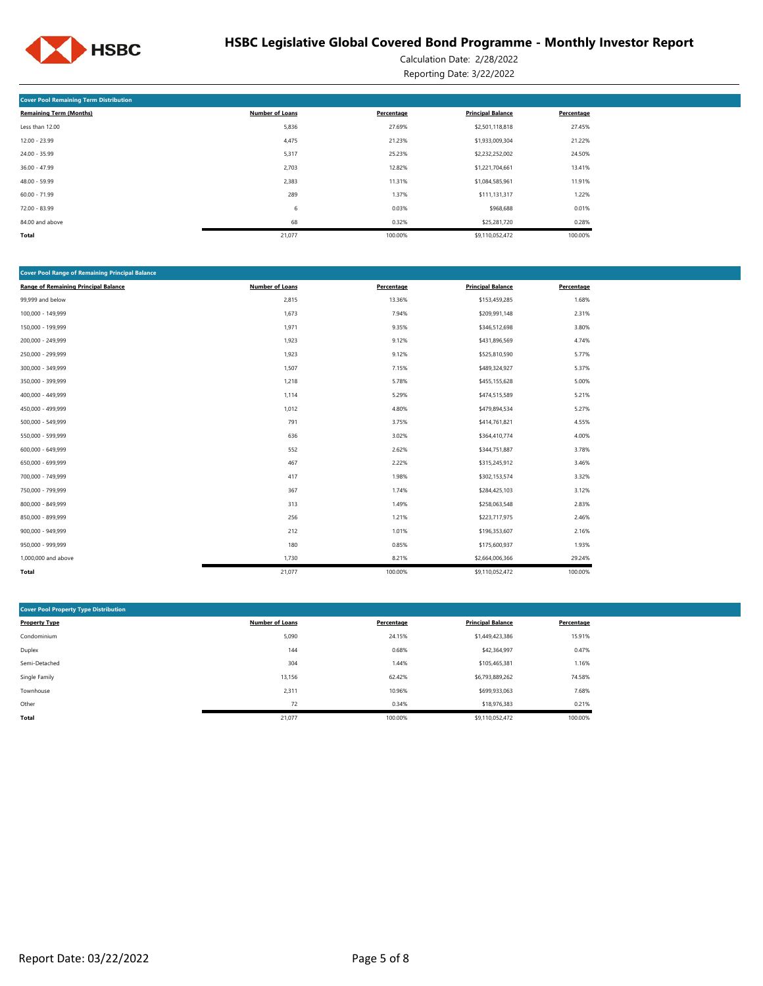

Calculation Date: 2/28/2022 Reporting Date: 3/22/2022

| <b>Cover Pool Remaining Term Distribution</b> |                        |            |                          |            |
|-----------------------------------------------|------------------------|------------|--------------------------|------------|
| <b>Remaining Term (Months)</b>                | <b>Number of Loans</b> | Percentage | <b>Principal Balance</b> | Percentage |
| Less than 12.00                               | 5,836                  | 27.69%     | \$2,501,118,818          | 27.45%     |
| $12.00 - 23.99$                               | 4,475                  | 21.23%     | \$1,933,009,304          | 21.22%     |
| 24.00 - 35.99                                 | 5,317                  | 25.23%     | \$2,232,252,002          | 24.50%     |
| $36.00 - 47.99$                               | 2,703                  | 12.82%     | \$1,221,704,661          | 13.41%     |
| 48.00 - 59.99                                 | 2,383                  | 11.31%     | \$1,084,585,961          | 11.91%     |
| $60.00 - 71.99$                               | 289                    | 1.37%      | \$111,131,317            | 1.22%      |
| 72.00 - 83.99                                 | 6                      | 0.03%      | \$968,688                | 0.01%      |
| 84.00 and above                               | 68                     | 0.32%      | \$25,281,720             | 0.28%      |
| Total                                         | 21,077                 | 100.00%    | \$9,110,052,472          | 100.00%    |

| <b>Cover Pool Range of Remaining Principal Balance</b> |                        |            |                          |            |
|--------------------------------------------------------|------------------------|------------|--------------------------|------------|
| <b>Range of Remaining Principal Balance</b>            | <b>Number of Loans</b> | Percentage | <b>Principal Balance</b> | Percentage |
| 99,999 and below                                       | 2,815                  | 13.36%     | \$153,459,285            | 1.68%      |
| 100,000 - 149,999                                      | 1,673                  | 7.94%      | \$209,991,148            | 2.31%      |
| 150,000 - 199,999                                      | 1,971                  | 9.35%      | \$346,512,698            | 3.80%      |
| 200,000 - 249,999                                      | 1,923                  | 9.12%      | \$431,896,569            | 4.74%      |
| 250,000 - 299,999                                      | 1,923                  | 9.12%      | \$525,810,590            | 5.77%      |
| 300,000 - 349,999                                      | 1,507                  | 7.15%      | \$489,324,927            | 5.37%      |
| 350,000 - 399,999                                      | 1,218                  | 5.78%      | \$455,155,628            | 5.00%      |
| 400,000 - 449,999                                      | 1,114                  | 5.29%      | \$474,515,589            | 5.21%      |
| 450,000 - 499,999                                      | 1,012                  | 4.80%      | \$479,894,534            | 5.27%      |
| 500,000 - 549,999                                      | 791                    | 3.75%      | \$414,761,821            | 4.55%      |
| 550,000 - 599,999                                      | 636                    | 3.02%      | \$364,410,774            | 4.00%      |
| 600,000 - 649,999                                      | 552                    | 2.62%      | \$344,751,887            | 3.78%      |
| 650,000 - 699,999                                      | 467                    | 2.22%      | \$315,245,912            | 3.46%      |
| 700,000 - 749,999                                      | 417                    | 1.98%      | \$302,153,574            | 3.32%      |
| 750,000 - 799,999                                      | 367                    | 1.74%      | \$284,425,103            | 3.12%      |
| 800,000 - 849,999                                      | 313                    | 1.49%      | \$258,063,548            | 2.83%      |
| 850,000 - 899,999                                      | 256                    | 1.21%      | \$223,717,975            | 2.46%      |
| 900,000 - 949,999                                      | 212                    | 1.01%      | \$196,353,607            | 2.16%      |
| 950,000 - 999,999                                      | 180                    | 0.85%      | \$175,600,937            | 1.93%      |
| 1,000,000 and above                                    | 1,730                  | 8.21%      | \$2,664,006,366          | 29.24%     |
| Total                                                  | 21,077                 | 100.00%    | \$9,110,052,472          | 100.00%    |

| <b>Cover Pool Property Type Distribution</b> |                        |            |                          |            |
|----------------------------------------------|------------------------|------------|--------------------------|------------|
| <b>Property Type</b>                         | <b>Number of Loans</b> | Percentage | <b>Principal Balance</b> | Percentage |
| Condominium                                  | 5,090                  | 24.15%     | \$1,449,423,386          | 15.91%     |
| Duplex                                       | 144                    | 0.68%      | \$42,364,997             | 0.47%      |
| Semi-Detached                                | 304                    | 1.44%      | \$105,465,381            | 1.16%      |
| Single Family                                | 13,156                 | 62.42%     | \$6,793,889,262          | 74.58%     |
| Townhouse                                    | 2,311                  | 10.96%     | \$699,933,063            | 7.68%      |
| Other                                        | 72                     | 0.34%      | \$18,976,383             | 0.21%      |
| <b>Total</b>                                 | 21,077                 | 100.00%    | \$9,110,052,472          | 100.00%    |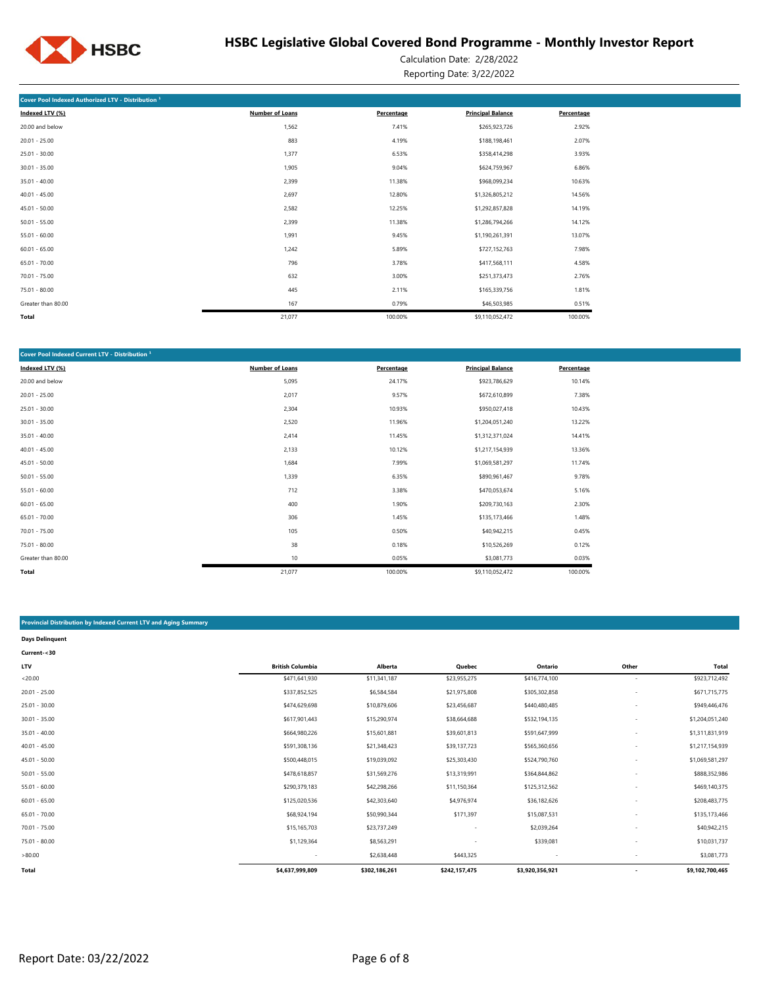

Calculation Date: 2/28/2022 Reporting Date: 3/22/2022

| Cover Pool Indexed Authorized LTV - Distribution <sup>1</sup> |                        |            |                          |            |
|---------------------------------------------------------------|------------------------|------------|--------------------------|------------|
| Indexed LTV (%)                                               | <b>Number of Loans</b> | Percentage | <b>Principal Balance</b> | Percentage |
| 20.00 and below                                               | 1,562                  | 7.41%      | \$265,923,726            | 2.92%      |
| $20.01 - 25.00$                                               | 883                    | 4.19%      | \$188,198,461            | 2.07%      |
| $25.01 - 30.00$                                               | 1,377                  | 6.53%      | \$358,414,298            | 3.93%      |
| $30.01 - 35.00$                                               | 1,905                  | 9.04%      | \$624,759,967            | 6.86%      |
| $35.01 - 40.00$                                               | 2,399                  | 11.38%     | \$968,099,234            | 10.63%     |
| $40.01 - 45.00$                                               | 2,697                  | 12.80%     | \$1,326,805,212          | 14.56%     |
| $45.01 - 50.00$                                               | 2,582                  | 12.25%     | \$1,292,857,828          | 14.19%     |
| $50.01 - 55.00$                                               | 2,399                  | 11.38%     | \$1,286,794,266          | 14.12%     |
| $55.01 - 60.00$                                               | 1,991                  | 9.45%      | \$1,190,261,391          | 13.07%     |
| $60.01 - 65.00$                                               | 1,242                  | 5.89%      | \$727,152,763            | 7.98%      |
| $65.01 - 70.00$                                               | 796                    | 3.78%      | \$417,568,111            | 4.58%      |
| $70.01 - 75.00$                                               | 632                    | 3.00%      | \$251,373,473            | 2.76%      |
| 75.01 - 80.00                                                 | 445                    | 2.11%      | \$165,339,756            | 1.81%      |
| Greater than 80.00                                            | 167                    | 0.79%      | \$46,503,985             | 0.51%      |
| <b>Total</b>                                                  | 21,077                 | 100.00%    | \$9,110,052,472          | 100.00%    |

| Cover Pool Indexed Current LTV - Distribution <sup>1</sup> |                        |            |                          |            |
|------------------------------------------------------------|------------------------|------------|--------------------------|------------|
| Indexed LTV (%)                                            | <b>Number of Loans</b> | Percentage | <b>Principal Balance</b> | Percentage |
| 20.00 and below                                            | 5,095                  | 24.17%     | \$923,786,629            | 10.14%     |
| $20.01 - 25.00$                                            | 2,017                  | 9.57%      | \$672,610,899            | 7.38%      |
| $25.01 - 30.00$                                            | 2,304                  | 10.93%     | \$950,027,418            | 10.43%     |
| $30.01 - 35.00$                                            | 2,520                  | 11.96%     | \$1,204,051,240          | 13.22%     |
| $35.01 - 40.00$                                            | 2,414                  | 11.45%     | \$1,312,371,024          | 14.41%     |
| $40.01 - 45.00$                                            | 2,133                  | 10.12%     | \$1,217,154,939          | 13.36%     |
| $45.01 - 50.00$                                            | 1,684                  | 7.99%      | \$1,069,581,297          | 11.74%     |
| $50.01 - 55.00$                                            | 1,339                  | 6.35%      | \$890,961,467            | 9.78%      |
| $55.01 - 60.00$                                            | 712                    | 3.38%      | \$470,053,674            | 5.16%      |
| $60.01 - 65.00$                                            | 400                    | 1.90%      | \$209,730,163            | 2.30%      |
| $65.01 - 70.00$                                            | 306                    | 1.45%      | \$135,173,466            | 1.48%      |
| $70.01 - 75.00$                                            | 105                    | 0.50%      | \$40,942,215             | 0.45%      |
| 75.01 - 80.00                                              | 38                     | 0.18%      | \$10,526,269             | 0.12%      |
| Greater than 80.00                                         | 10                     | 0.05%      | \$3,081,773              | 0.03%      |
| Total                                                      | 21,077                 | 100.00%    | \$9,110,052,472          | 100.00%    |

#### **Provincial Distribution by Indexed Current LTV and Aging Summary**

| <b>Days Delinquent</b> |                         |               |                          |                 |                          |                 |
|------------------------|-------------------------|---------------|--------------------------|-----------------|--------------------------|-----------------|
| Current-<30            |                         |               |                          |                 |                          |                 |
| <b>LTV</b>             | <b>British Columbia</b> | Alberta       | Quebec                   | Ontario         | Other                    | <b>Total</b>    |
| < 20.00                | \$471,641,930           | \$11,341,187  | \$23,955,275             | \$416,774,100   | $\overline{\phantom{a}}$ | \$923,712,492   |
| $20.01 - 25.00$        | \$337,852,525           | \$6,584,584   | \$21,975,808             | \$305,302,858   | ٠                        | \$671,715,775   |
| $25.01 - 30.00$        | \$474,629,698           | \$10,879,606  | \$23,456,687             | \$440,480,485   |                          | \$949,446,476   |
| $30.01 - 35.00$        | \$617,901,443           | \$15,290,974  | \$38,664,688             | \$532,194,135   | $\overline{\phantom{a}}$ | \$1,204,051,240 |
| $35.01 - 40.00$        | \$664,980,226           | \$15,601,881  | \$39,601,813             | \$591,647,999   |                          | \$1,311,831,919 |
| $40.01 - 45.00$        | \$591,308,136           | \$21,348,423  | \$39,137,723             | \$565,360,656   | $\overline{\phantom{a}}$ | \$1,217,154,939 |
| $45.01 - 50.00$        | \$500,448,015           | \$19,039,092  | \$25,303,430             | \$524,790,760   | ٠                        | \$1,069,581,297 |
| $50.01 - 55.00$        | \$478,618,857           | \$31,569,276  | \$13,319,991             | \$364,844,862   |                          | \$888,352,986   |
| $55.01 - 60.00$        | \$290,379,183           | \$42,298,266  | \$11,150,364             | \$125,312,562   | $\overline{\phantom{a}}$ | \$469,140,375   |
| $60.01 - 65.00$        | \$125,020,536           | \$42,303,640  | \$4,976,974              | \$36,182,626    | ٠                        | \$208,483,775   |
| $65.01 - 70.00$        | \$68,924,194            | \$50,990,344  | \$171,397                | \$15,087,531    |                          | \$135,173,466   |
| $70.01 - 75.00$        | \$15,165,703            | \$23,737,249  | $\overline{\phantom{a}}$ | \$2,039,264     | $\overline{\phantom{a}}$ | \$40,942,215    |
| $75.01 - 80.00$        | \$1,129,364             | \$8,563,291   |                          | \$339,081       | ٠                        | \$10,031,737    |
| >80.00                 |                         | \$2,638,448   | \$443,325                |                 |                          | \$3,081,773     |
| Total                  | \$4,637,999,809         | \$302,186,261 | \$242,157,475            | \$3,920,356,921 |                          | \$9,102,700,465 |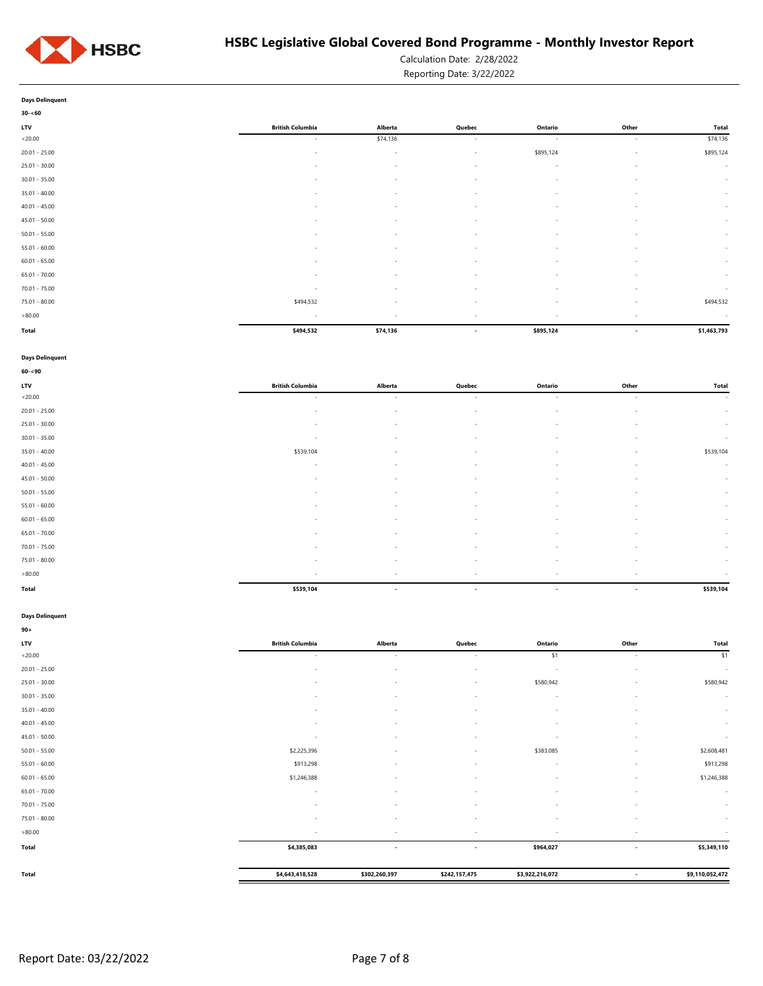

Calculation Date: 2/28/2022

Reporting Date: 3/22/2022

| Days Delinguent |  |
|-----------------|--|

| $30 - 60$       |                          |                          |                          |                          |                          |              |
|-----------------|--------------------------|--------------------------|--------------------------|--------------------------|--------------------------|--------------|
| <b>LTV</b>      | <b>British Columbia</b>  | Alberta                  | Quebec                   | Ontario                  | Other                    | <b>Total</b> |
| < 20.00         | $\sim$                   | \$74,136                 | $\sim$                   | $\sim$                   | $\sim$                   | \$74,136     |
| $20.01 - 25.00$ | $\sim$                   | $\overline{\phantom{a}}$ | $\sim$                   | \$895,124                | $\sim$                   | \$895,124    |
| $25.01 - 30.00$ | $\sim$                   | $\overline{\phantom{a}}$ | $\overline{\phantom{a}}$ | $\sim$                   | $\sim$                   | $\sim$       |
| $30.01 - 35.00$ |                          | $\sim$                   | $\sim$                   | $\overline{\phantom{a}}$ |                          | $\sim$       |
| $35.01 - 40.00$ | $\sim$                   | $\sim$                   | $\overline{\phantom{a}}$ | $\sim$                   | $\sim$                   | $\sim$       |
| $40.01 - 45.00$ | $\sim$                   | $\overline{\phantom{a}}$ | $\sim$                   | $\overline{\phantom{a}}$ | $\overline{\phantom{a}}$ | $\sim$       |
| $45.01 - 50.00$ | $\overline{\phantom{a}}$ | $\sim$                   | $\overline{\phantom{a}}$ | $\sim$                   | $\overline{\phantom{a}}$ | $\sim$       |
| $50.01 - 55.00$ | $\overline{\phantom{a}}$ | $\overline{\phantom{a}}$ | $\sim$                   | $\sim$                   | $\sim$                   | $\sim$       |
| $55.01 - 60.00$ | $\overline{\phantom{a}}$ | $\sim$                   | $\overline{\phantom{a}}$ | $\overline{\phantom{a}}$ | $\overline{\phantom{a}}$ | $\sim$       |
| $60.01 - 65.00$ | $\overline{\phantom{a}}$ | $\sim$                   | $\sim$                   | $\sim$                   | $\overline{\phantom{a}}$ | $\sim$       |
| $65.01 - 70.00$ | $\overline{\phantom{a}}$ | $\sim$                   | $\sim$                   | $\sim$                   | $\sim$                   | $\sim$       |
| $70.01 - 75.00$ | $\overline{\phantom{a}}$ | $\sim$                   | $\sim$                   | $\sim$                   | $\sim$                   | $\sim$       |
| $75.01 - 80.00$ | \$494,532                | $\overline{\phantom{a}}$ | $\sim$                   | $\overline{\phantom{a}}$ | $\sim$                   | \$494,532    |
| >80.00          | $\sim$                   | $\sim$                   | $\sim$                   | $\sim$                   | $\sim$                   | $\sim$       |
| Total           | \$494,532                | \$74,136                 | $\sim$                   | \$895,124                | $\overline{\phantom{a}}$ | \$1,463,793  |

#### **Days Delinquent**

| $60 - 90$       |                          |                          |                          |                          |                          |              |
|-----------------|--------------------------|--------------------------|--------------------------|--------------------------|--------------------------|--------------|
| LTV             | <b>British Columbia</b>  | Alberta                  | Quebec                   | Ontario                  | Other                    | <b>Total</b> |
| < 20.00         | $\sim$                   | $\sim$                   | $\sim$                   | $\sim$                   | $\sim$                   | $\sim$ $-$   |
| $20.01 - 25.00$ | $\sim$                   | $\sim$                   | $\sim$                   | $\sim$                   | $\sim$                   | $\sim$       |
| $25.01 - 30.00$ | $\sim$                   | $\sim$                   | $\sim$                   | $\sim$                   | $\sim$                   | $\sim$       |
| $30.01 - 35.00$ | $\sim$                   | $\sim$                   | $\sim$                   | $\sim$                   | $\overline{\phantom{a}}$ | $\sim$       |
| $35.01 - 40.00$ | \$539,104                |                          | $\overline{\phantom{a}}$ | и.                       | $\overline{\phantom{a}}$ | \$539,104    |
| $40.01 - 45.00$ | $\sim$                   | $\overline{\phantom{a}}$ | $\sim$                   | $\overline{\phantom{a}}$ | $\sim$                   | $\sim$       |
| $45.01 - 50.00$ | $\sim$                   | $\sim$                   | $\sim$                   | $\sim$                   | $\sim$                   | $\sim$       |
| $50.01 - 55.00$ | ٠                        | $\overline{\phantom{a}}$ | $\overline{\phantom{a}}$ | $\sim$                   | $\overline{\phantom{a}}$ | $\sim$       |
| $55.01 - 60.00$ | $\sim$                   | $\sim$                   | $\sim$                   | $\overline{\phantom{a}}$ | $\overline{\phantom{a}}$ | $\sim$       |
| $60.01 - 65.00$ | $\sim$                   | $\sim$                   | $\sim$                   | $\overline{\phantom{a}}$ | $\overline{\phantom{a}}$ | $\sim$       |
| $65.01 - 70.00$ |                          | $\overline{\phantom{a}}$ | $\overline{\phantom{a}}$ | $\sim$                   | <b>.</b>                 | $\sim$       |
| $70.01 - 75.00$ | $\sim$                   | $\sim$                   | $\sim$                   | $\sim$                   | $\sim$                   | $\sim$       |
| $75.01 - 80.00$ | $\sim$                   | $\sim$                   | $\sim$                   | $\sim$                   | $\sim$                   | $\sim$       |
| >80.00          | $\overline{\phantom{a}}$ |                          | $\overline{\phantom{a}}$ | ۰.                       |                          |              |
| <b>Total</b>    | \$539,104                | $\overline{\phantom{a}}$ | $\overline{\phantom{a}}$ | $\sim$                   | $\overline{\phantom{a}}$ | \$539,104    |

### **Days Delinquent**

| $90+$           |                          |                          |                          |                 |                          |                 |
|-----------------|--------------------------|--------------------------|--------------------------|-----------------|--------------------------|-----------------|
| LTV             | <b>British Columbia</b>  | Alberta                  | Quebec                   | Ontario         | Other                    | Total           |
| < 20.00         | $\sim$                   | $\sim$                   | $\sim$                   | \$1             | $\sim$                   | \$1             |
| $20.01 - 25.00$ | $\sim$                   | ٠                        | $\sim$                   | $\sim$          | $\overline{\phantom{a}}$ | $\sim$          |
| $25.01 - 30.00$ |                          | ٠                        | ۰                        | \$580,942       | $\overline{\phantom{a}}$ | \$580,942       |
| $30.01 - 35.00$ | $\overline{\phantom{a}}$ | $\overline{\phantom{a}}$ | $\sim$                   | $\sim$          | $\overline{\phantom{a}}$ | $\sim$          |
| $35.01 - 40.00$ | $\sim$                   | $\sim$                   | $\sim$                   | $\sim$          | ٠                        | $\sim$          |
| $40.01 - 45.00$ |                          | $\overline{\phantom{a}}$ | $\overline{\phantom{0}}$ | ٠               |                          | $\sim$          |
| $45.01 - 50.00$ |                          | $\sim$                   | ÷.                       | ÷               |                          | $\sim$          |
| $50.01 - 55.00$ | \$2,225,396              | ٠                        |                          | \$383,085       |                          | \$2,608,481     |
| $55.01 - 60.00$ | \$913,298                | $\overline{\phantom{a}}$ | $\sim$                   | $\sim$          | $\overline{\phantom{a}}$ | \$913,298       |
| $60.01 - 65.00$ | \$1,246,388              | $\sim$                   |                          |                 |                          | \$1,246,388     |
| $65.01 - 70.00$ |                          | $\sim$                   |                          | ۰.              |                          | $\sim$          |
| $70.01 - 75.00$ |                          | $\overline{\phantom{a}}$ | $\sim$                   | $\sim$          | $\overline{\phantom{a}}$ | $\sim$          |
| 75.01 - 80.00   | $\overline{\phantom{a}}$ | $\sim$                   | $\sim$                   | $\sim$          | $\sim$                   | $\sim$          |
| >80.00          | $\sim$                   | $\overline{\phantom{a}}$ | $\sim$                   | $\sim$          | $\sim$                   | ×               |
| Total           | \$4,385,083              | $\overline{\phantom{a}}$ | $\overline{\phantom{a}}$ | \$964,027       | $\overline{\phantom{a}}$ | \$5,349,110     |
| Total           | \$4,643,418,528          | \$302,260,397            | \$242,157,475            | \$3,922,216,072 | $\overline{\phantom{a}}$ | \$9,110,052,472 |